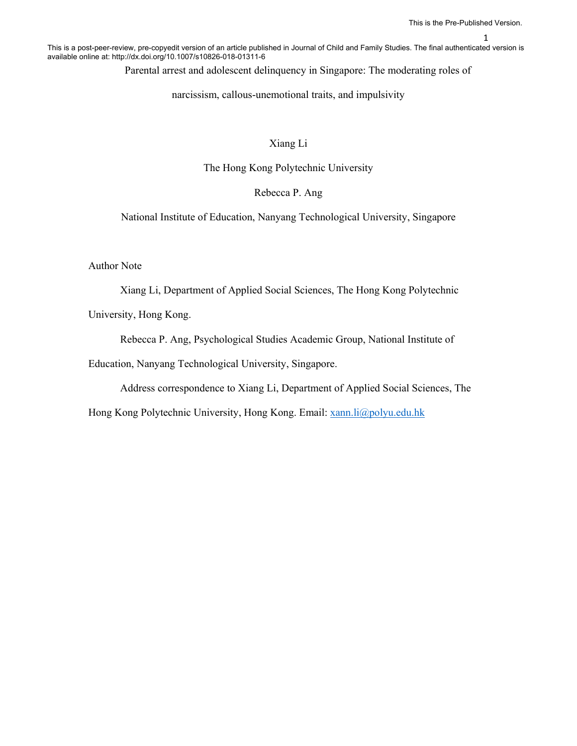1

This is a post-peer-review, pre-copyedit version of an article published in Journal of Child and Family Studies. The final authenticated version is available online at: http://dx.doi.org/10.1007/s10826-018-01311-6

Parental arrest and adolescent delinquency in Singapore: The moderating roles of

narcissism, callous-unemotional traits, and impulsivity

#### Xiang Li

The Hong Kong Polytechnic University

## Rebecca P. Ang

National Institute of Education, Nanyang Technological University, Singapore

Author Note

Xiang Li, Department of Applied Social Sciences, The Hong Kong Polytechnic

University, Hong Kong.

Rebecca P. Ang, Psychological Studies Academic Group, National Institute of

Education, Nanyang Technological University, Singapore.

Address correspondence to Xiang Li, Department of Applied Social Sciences, The

Hong Kong Polytechnic University, Hong Kong. Email: xann.li@polyu.edu.hk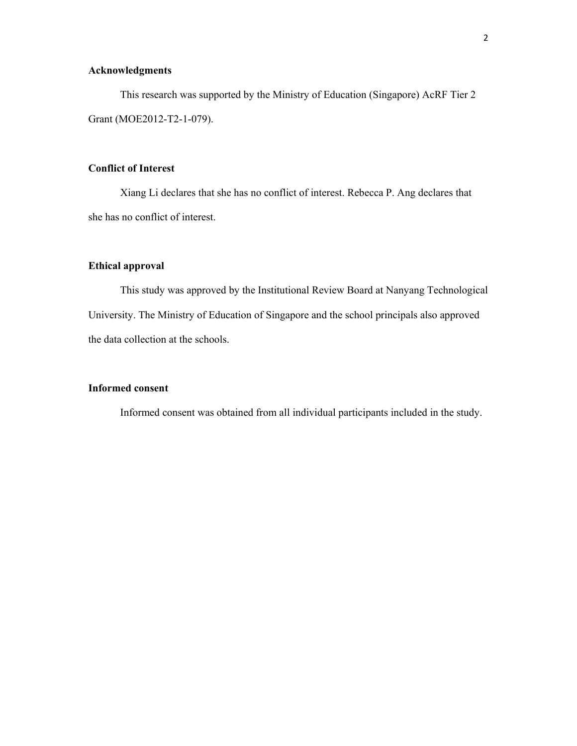### **Acknowledgments**

This research was supported by the Ministry of Education (Singapore) AcRF Tier 2 Grant (MOE2012-T2-1-079).

## **Conflict of Interest**

Xiang Li declares that she has no conflict of interest. Rebecca P. Ang declares that she has no conflict of interest.

#### **Ethical approval**

This study was approved by the Institutional Review Board at Nanyang Technological University. The Ministry of Education of Singapore and the school principals also approved the data collection at the schools.

#### **Informed consent**

Informed consent was obtained from all individual participants included in the study.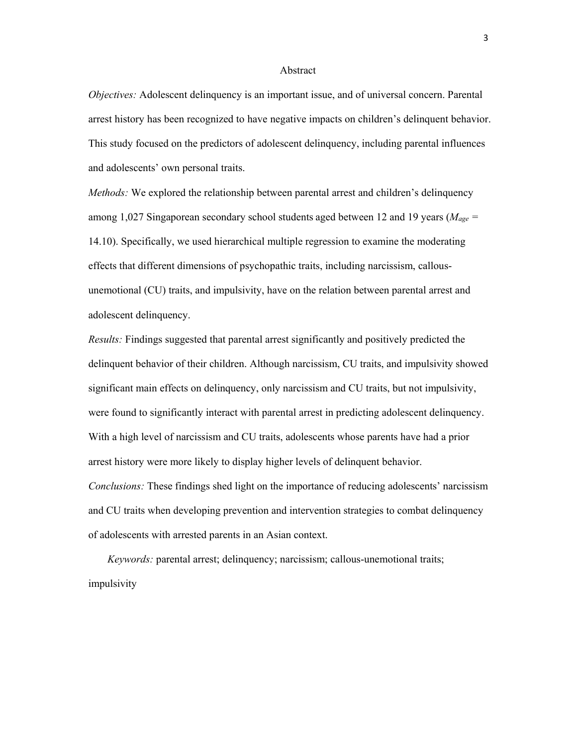#### Abstract

*Objectives:* Adolescent delinquency is an important issue, and of universal concern. Parental arrest history has been recognized to have negative impacts on children's delinquent behavior. This study focused on the predictors of adolescent delinquency, including parental influences and adolescents' own personal traits.

*Methods:* We explored the relationship between parental arrest and children's delinquency among 1,027 Singaporean secondary school students aged between 12 and 19 years (*Mage =*  14.10). Specifically, we used hierarchical multiple regression to examine the moderating effects that different dimensions of psychopathic traits, including narcissism, callousunemotional (CU) traits, and impulsivity, have on the relation between parental arrest and adolescent delinquency.

*Results:* Findings suggested that parental arrest significantly and positively predicted the delinquent behavior of their children. Although narcissism, CU traits, and impulsivity showed significant main effects on delinquency, only narcissism and CU traits, but not impulsivity, were found to significantly interact with parental arrest in predicting adolescent delinquency. With a high level of narcissism and CU traits, adolescents whose parents have had a prior arrest history were more likely to display higher levels of delinquent behavior. *Conclusions:* These findings shed light on the importance of reducing adolescents' narcissism and CU traits when developing prevention and intervention strategies to combat delinquency of adolescents with arrested parents in an Asian context.

*Keywords:* parental arrest; delinquency; narcissism; callous-unemotional traits; impulsivity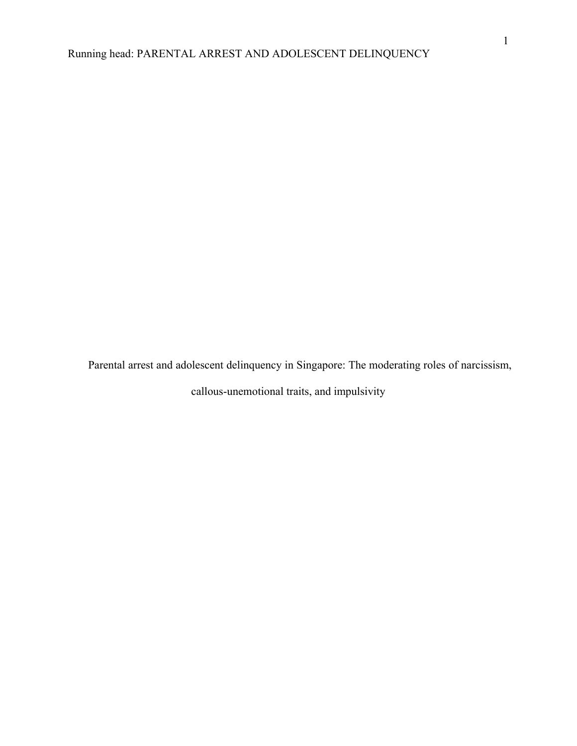Parental arrest and adolescent delinquency in Singapore: The moderating roles of narcissism, callous-unemotional traits, and impulsivity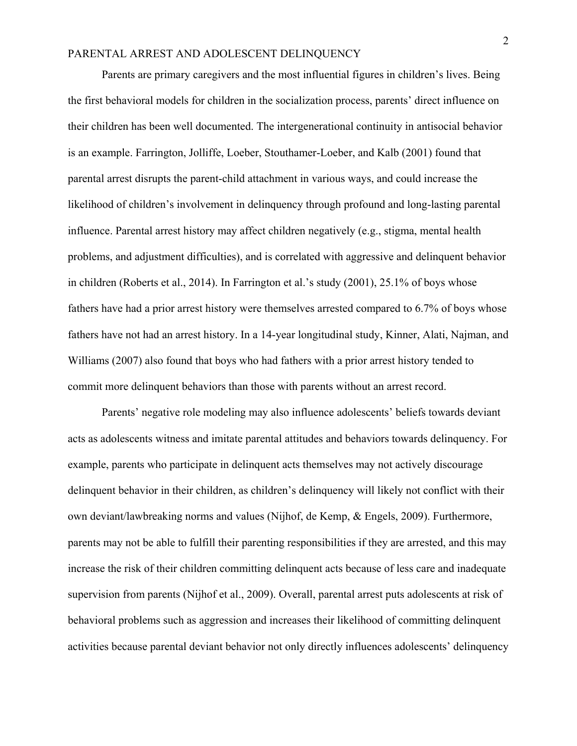Parents are primary caregivers and the most influential figures in children's lives. Being the first behavioral models for children in the socialization process, parents' direct influence on their children has been well documented. The intergenerational continuity in antisocial behavior is an example. Farrington, Jolliffe, Loeber, Stouthamer-Loeber, and Kalb (2001) found that parental arrest disrupts the parent-child attachment in various ways, and could increase the likelihood of children's involvement in delinquency through profound and long-lasting parental influence. Parental arrest history may affect children negatively (e.g., stigma, mental health problems, and adjustment difficulties), and is correlated with aggressive and delinquent behavior in children (Roberts et al., 2014). In Farrington et al.'s study (2001), 25.1% of boys whose fathers have had a prior arrest history were themselves arrested compared to 6.7% of boys whose fathers have not had an arrest history. In a 14-year longitudinal study, Kinner, Alati, Najman, and Williams (2007) also found that boys who had fathers with a prior arrest history tended to commit more delinquent behaviors than those with parents without an arrest record.

Parents' negative role modeling may also influence adolescents' beliefs towards deviant acts as adolescents witness and imitate parental attitudes and behaviors towards delinquency. For example, parents who participate in delinquent acts themselves may not actively discourage delinquent behavior in their children, as children's delinquency will likely not conflict with their own deviant/lawbreaking norms and values (Nijhof, de Kemp, & Engels, 2009). Furthermore, parents may not be able to fulfill their parenting responsibilities if they are arrested, and this may increase the risk of their children committing delinquent acts because of less care and inadequate supervision from parents (Nijhof et al., 2009). Overall, parental arrest puts adolescents at risk of behavioral problems such as aggression and increases their likelihood of committing delinquent activities because parental deviant behavior not only directly influences adolescents' delinquency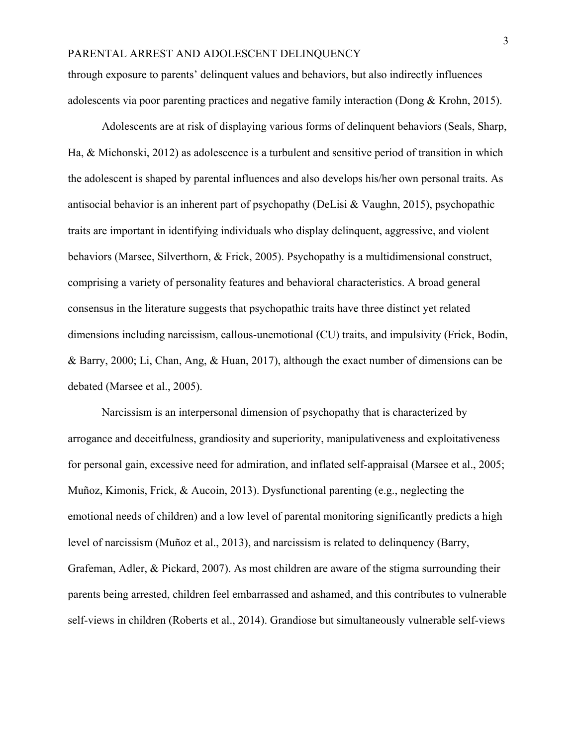through exposure to parents' delinquent values and behaviors, but also indirectly influences adolescents via poor parenting practices and negative family interaction (Dong & Krohn, 2015).

Adolescents are at risk of displaying various forms of delinquent behaviors (Seals, Sharp, Ha, & Michonski, 2012) as adolescence is a turbulent and sensitive period of transition in which the adolescent is shaped by parental influences and also develops his/her own personal traits. As antisocial behavior is an inherent part of psychopathy (DeLisi & Vaughn, 2015), psychopathic traits are important in identifying individuals who display delinquent, aggressive, and violent behaviors (Marsee, Silverthorn, & Frick, 2005). Psychopathy is a multidimensional construct, comprising a variety of personality features and behavioral characteristics. A broad general consensus in the literature suggests that psychopathic traits have three distinct yet related dimensions including narcissism, callous-unemotional (CU) traits, and impulsivity (Frick, Bodin, & Barry, 2000; Li, Chan, Ang, & Huan, 2017), although the exact number of dimensions can be debated (Marsee et al., 2005).

Narcissism is an interpersonal dimension of psychopathy that is characterized by arrogance and deceitfulness, grandiosity and superiority, manipulativeness and exploitativeness for personal gain, excessive need for admiration, and inflated self-appraisal (Marsee et al., 2005; Muñoz, Kimonis, Frick, & Aucoin, 2013). Dysfunctional parenting (e.g., neglecting the emotional needs of children) and a low level of parental monitoring significantly predicts a high level of narcissism (Muñoz et al., 2013), and narcissism is related to delinquency (Barry, Grafeman, Adler, & Pickard, 2007). As most children are aware of the stigma surrounding their parents being arrested, children feel embarrassed and ashamed, and this contributes to vulnerable self-views in children (Roberts et al., 2014). Grandiose but simultaneously vulnerable self-views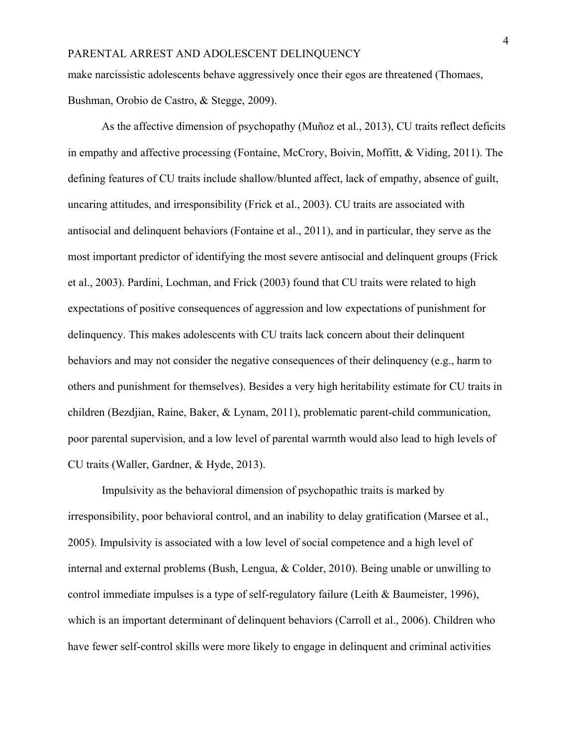make narcissistic adolescents behave aggressively once their egos are threatened (Thomaes, Bushman, Orobio de Castro, & Stegge, 2009).

As the affective dimension of psychopathy (Muñoz et al., 2013), CU traits reflect deficits in empathy and affective processing (Fontaine, McCrory, Boivin, Moffitt, & Viding, 2011). The defining features of CU traits include shallow/blunted affect, lack of empathy, absence of guilt, uncaring attitudes, and irresponsibility (Frick et al., 2003). CU traits are associated with antisocial and delinquent behaviors (Fontaine et al., 2011), and in particular, they serve as the most important predictor of identifying the most severe antisocial and delinquent groups (Frick et al., 2003). Pardini, Lochman, and Frick (2003) found that CU traits were related to high expectations of positive consequences of aggression and low expectations of punishment for delinquency. This makes adolescents with CU traits lack concern about their delinquent behaviors and may not consider the negative consequences of their delinquency (e.g., harm to others and punishment for themselves). Besides a very high heritability estimate for CU traits in children (Bezdjian, Raine, Baker, & Lynam, 2011), problematic parent-child communication, poor parental supervision, and a low level of parental warmth would also lead to high levels of CU traits (Waller, Gardner, & Hyde, 2013).

Impulsivity as the behavioral dimension of psychopathic traits is marked by irresponsibility, poor behavioral control, and an inability to delay gratification (Marsee et al., 2005). Impulsivity is associated with a low level of social competence and a high level of internal and external problems (Bush, Lengua, & Colder, 2010). Being unable or unwilling to control immediate impulses is a type of self-regulatory failure (Leith & Baumeister, 1996), which is an important determinant of delinquent behaviors (Carroll et al., 2006). Children who have fewer self-control skills were more likely to engage in delinquent and criminal activities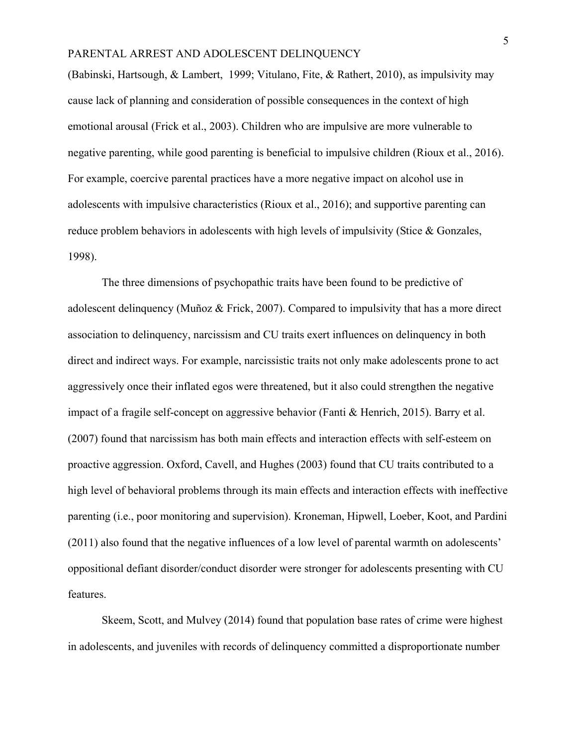(Babinski, Hartsough, & Lambert, 1999; Vitulano, Fite, & Rathert, 2010), as impulsivity may cause lack of planning and consideration of possible consequences in the context of high emotional arousal (Frick et al., 2003). Children who are impulsive are more vulnerable to negative parenting, while good parenting is beneficial to impulsive children (Rioux et al., 2016). For example, coercive parental practices have a more negative impact on alcohol use in adolescents with impulsive characteristics (Rioux et al., 2016); and supportive parenting can reduce problem behaviors in adolescents with high levels of impulsivity (Stice & Gonzales, 1998).

The three dimensions of psychopathic traits have been found to be predictive of adolescent delinquency (Muñoz & Frick, 2007). Compared to impulsivity that has a more direct association to delinquency, narcissism and CU traits exert influences on delinquency in both direct and indirect ways. For example, narcissistic traits not only make adolescents prone to act aggressively once their inflated egos were threatened, but it also could strengthen the negative impact of a fragile self-concept on aggressive behavior (Fanti & Henrich, 2015). Barry et al. (2007) found that narcissism has both main effects and interaction effects with self-esteem on proactive aggression. Oxford, Cavell, and Hughes (2003) found that CU traits contributed to a high level of behavioral problems through its main effects and interaction effects with ineffective parenting (i.e., poor monitoring and supervision). Kroneman, Hipwell, Loeber, Koot, and Pardini (2011) also found that the negative influences of a low level of parental warmth on adolescents' oppositional defiant disorder/conduct disorder were stronger for adolescents presenting with CU features.

Skeem, Scott, and Mulvey (2014) found that population base rates of crime were highest in adolescents, and juveniles with records of delinquency committed a disproportionate number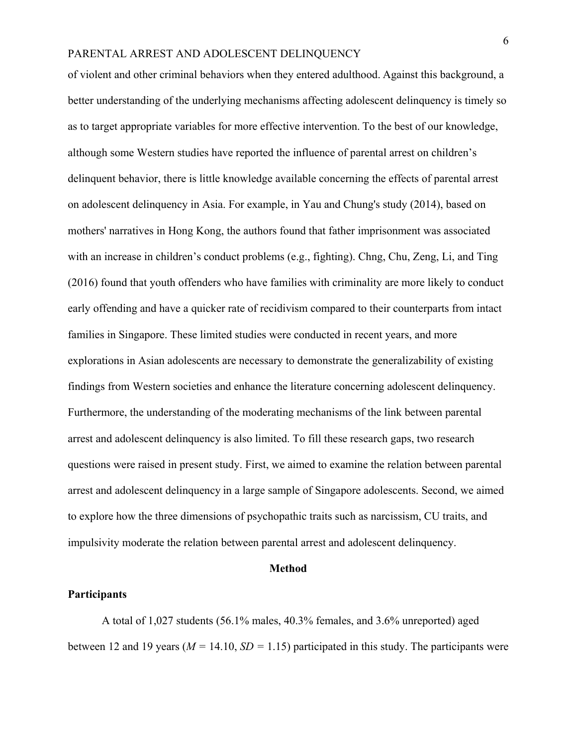of violent and other criminal behaviors when they entered adulthood. Against this background, a better understanding of the underlying mechanisms affecting adolescent delinquency is timely so as to target appropriate variables for more effective intervention. To the best of our knowledge, although some Western studies have reported the influence of parental arrest on children's delinquent behavior, there is little knowledge available concerning the effects of parental arrest on adolescent delinquency in Asia. For example, in Yau and Chung's study (2014), based on mothers' narratives in Hong Kong, the authors found that father imprisonment was associated with an increase in children's conduct problems (e.g., fighting). Chng, Chu, Zeng, Li, and Ting (2016) found that youth offenders who have families with criminality are more likely to conduct early offending and have a quicker rate of recidivism compared to their counterparts from intact families in Singapore. These limited studies were conducted in recent years, and more explorations in Asian adolescents are necessary to demonstrate the generalizability of existing findings from Western societies and enhance the literature concerning adolescent delinquency. Furthermore, the understanding of the moderating mechanisms of the link between parental arrest and adolescent delinquency is also limited. To fill these research gaps, two research questions were raised in present study. First, we aimed to examine the relation between parental arrest and adolescent delinquency in a large sample of Singapore adolescents. Second, we aimed to explore how the three dimensions of psychopathic traits such as narcissism, CU traits, and impulsivity moderate the relation between parental arrest and adolescent delinquency.

#### **Method**

#### **Participants**

A total of 1,027 students (56.1% males, 40.3% females, and 3.6% unreported) aged between 12 and 19 years ( $M = 14.10$ ,  $SD = 1.15$ ) participated in this study. The participants were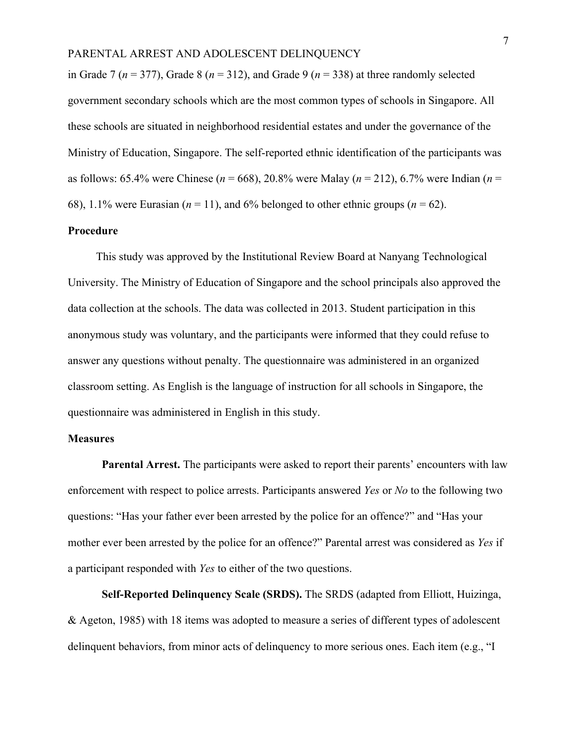in Grade 7 ( $n = 377$ ), Grade 8 ( $n = 312$ ), and Grade 9 ( $n = 338$ ) at three randomly selected government secondary schools which are the most common types of schools in Singapore. All these schools are situated in neighborhood residential estates and under the governance of the Ministry of Education, Singapore. The self-reported ethnic identification of the participants was as follows: 65.4% were Chinese (*n* = 668), 20.8% were Malay (*n* = 212), 6.7% were Indian (*n* = 68), 1.1% were Eurasian ( $n = 11$ ), and 6% belonged to other ethnic groups ( $n = 62$ ).

## **Procedure**

 This study was approved by the Institutional Review Board at Nanyang Technological University. The Ministry of Education of Singapore and the school principals also approved the data collection at the schools. The data was collected in 2013. Student participation in this anonymous study was voluntary, and the participants were informed that they could refuse to answer any questions without penalty. The questionnaire was administered in an organized classroom setting. As English is the language of instruction for all schools in Singapore, the questionnaire was administered in English in this study.

#### **Measures**

**Parental Arrest.** The participants were asked to report their parents' encounters with law enforcement with respect to police arrests. Participants answered *Yes* or *No* to the following two questions: "Has your father ever been arrested by the police for an offence?" and "Has your mother ever been arrested by the police for an offence?" Parental arrest was considered as *Yes* if a participant responded with *Yes* to either of the two questions.

**Self-Reported Delinquency Scale (SRDS).** The SRDS (adapted from Elliott, Huizinga, & Ageton, 1985) with 18 items was adopted to measure a series of different types of adolescent delinquent behaviors, from minor acts of delinquency to more serious ones. Each item (e.g., "I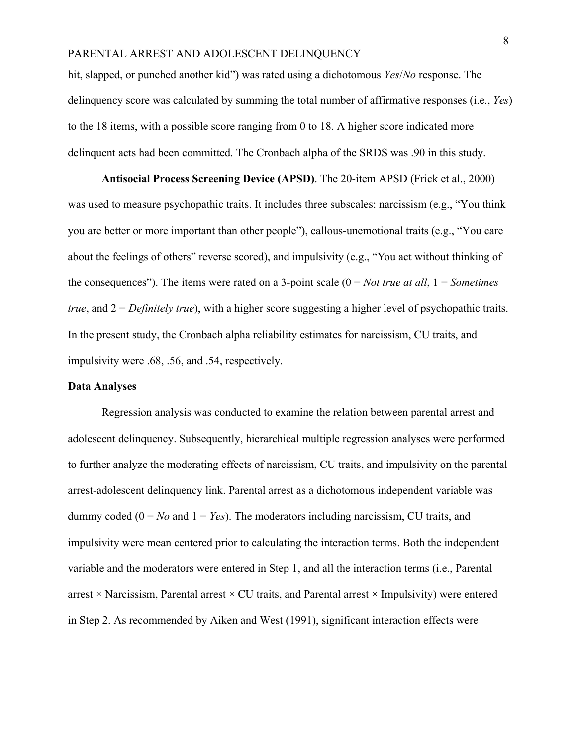hit, slapped, or punched another kid") was rated using a dichotomous *Yes*/*No* response. The delinquency score was calculated by summing the total number of affirmative responses (i.e., *Yes*) to the 18 items, with a possible score ranging from 0 to 18. A higher score indicated more delinquent acts had been committed. The Cronbach alpha of the SRDS was .90 in this study.

**Antisocial Process Screening Device (APSD)**. The 20-item APSD (Frick et al., 2000) was used to measure psychopathic traits. It includes three subscales: narcissism (e.g., "You think you are better or more important than other people"), callous-unemotional traits (e.g., "You care about the feelings of others" reverse scored), and impulsivity (e.g., "You act without thinking of the consequences"). The items were rated on a 3-point scale (0 = *Not true at all*, 1 = *Sometimes true*, and 2 = *Definitely true*), with a higher score suggesting a higher level of psychopathic traits. In the present study, the Cronbach alpha reliability estimates for narcissism, CU traits, and impulsivity were .68, .56, and .54, respectively.

### **Data Analyses**

Regression analysis was conducted to examine the relation between parental arrest and adolescent delinquency. Subsequently, hierarchical multiple regression analyses were performed to further analyze the moderating effects of narcissism, CU traits, and impulsivity on the parental arrest-adolescent delinquency link. Parental arrest as a dichotomous independent variable was dummy coded  $(0 = No$  and  $1 = Yes$ ). The moderators including narcissism, CU traits, and impulsivity were mean centered prior to calculating the interaction terms. Both the independent variable and the moderators were entered in Step 1, and all the interaction terms (i.e., Parental arrest  $\times$  Narcissism, Parental arrest  $\times$  CU traits, and Parental arrest  $\times$  Impulsivity) were entered in Step 2. As recommended by Aiken and West (1991), significant interaction effects were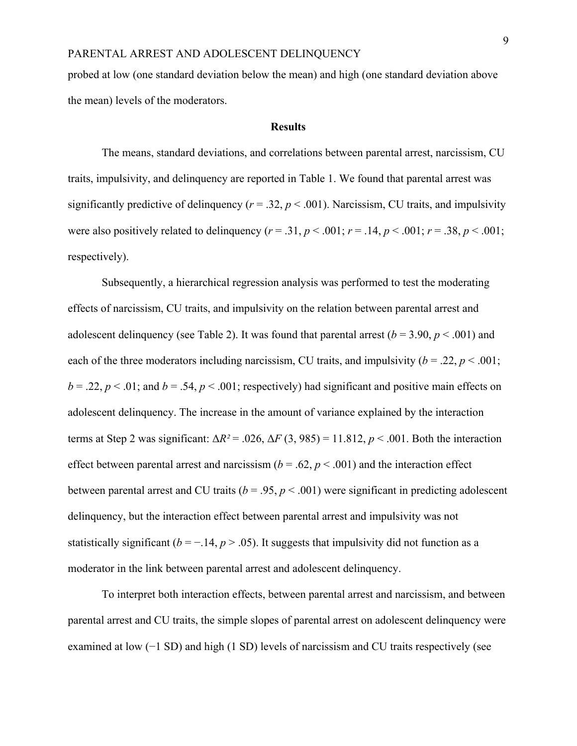probed at low (one standard deviation below the mean) and high (one standard deviation above the mean) levels of the moderators.

#### **Results**

The means, standard deviations, and correlations between parental arrest, narcissism, CU traits, impulsivity, and delinquency are reported in Table 1. We found that parental arrest was significantly predictive of delinquency ( $r = .32$ ,  $p < .001$ ). Narcissism, CU traits, and impulsivity were also positively related to delinquency  $(r = .31, p < .001; r = .14, p < .001; r = .38, p < .001;$ respectively).

Subsequently, a hierarchical regression analysis was performed to test the moderating effects of narcissism, CU traits, and impulsivity on the relation between parental arrest and adolescent delinquency (see Table 2). It was found that parental arrest  $(b = 3.90, p < .001)$  and each of the three moderators including narcissism, CU traits, and impulsivity  $(b = .22, p < .001)$ ;  $b = 0.22$ ,  $p < 0.01$ ; and  $b = 0.54$ ,  $p < 0.001$ ; respectively) had significant and positive main effects on adolescent delinquency. The increase in the amount of variance explained by the interaction terms at Step 2 was significant:  $\Delta R^2 = .026$ ,  $\Delta F (3, 985) = 11.812$ ,  $p < .001$ . Both the interaction effect between parental arrest and narcissism  $(b = .62, p < .001)$  and the interaction effect between parental arrest and CU traits ( $b = .95$ ,  $p < .001$ ) were significant in predicting adolescent delinquency, but the interaction effect between parental arrest and impulsivity was not statistically significant ( $b = -.14$ ,  $p > .05$ ). It suggests that impulsivity did not function as a moderator in the link between parental arrest and adolescent delinquency.

To interpret both interaction effects, between parental arrest and narcissism, and between parental arrest and CU traits, the simple slopes of parental arrest on adolescent delinquency were examined at low (−1 SD) and high (1 SD) levels of narcissism and CU traits respectively (see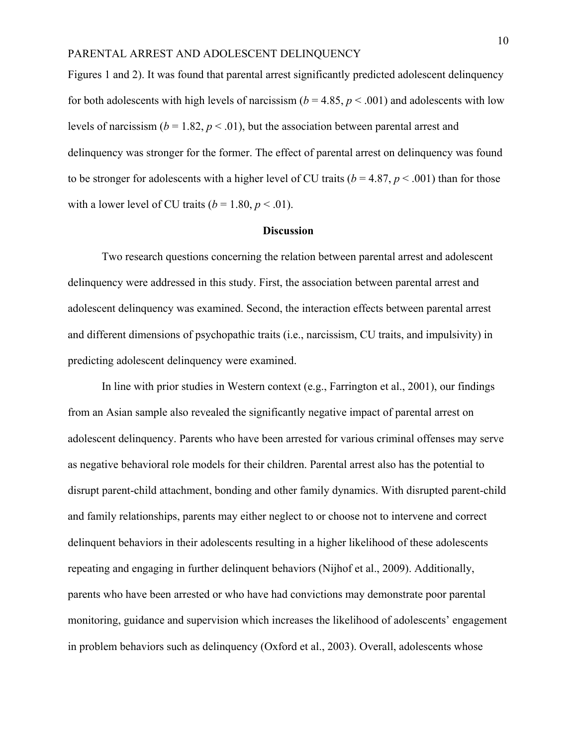Figures 1 and 2). It was found that parental arrest significantly predicted adolescent delinquency for both adolescents with high levels of narcissism ( $b = 4.85$ ,  $p < .001$ ) and adolescents with low levels of narcissism  $(b = 1.82, p < .01)$ , but the association between parental arrest and delinquency was stronger for the former. The effect of parental arrest on delinquency was found to be stronger for adolescents with a higher level of CU traits ( $b = 4.87$ ,  $p < .001$ ) than for those with a lower level of CU traits  $(b = 1.80, p < .01)$ .

#### **Discussion**

Two research questions concerning the relation between parental arrest and adolescent delinquency were addressed in this study. First, the association between parental arrest and adolescent delinquency was examined. Second, the interaction effects between parental arrest and different dimensions of psychopathic traits (i.e., narcissism, CU traits, and impulsivity) in predicting adolescent delinquency were examined.

In line with prior studies in Western context (e.g., Farrington et al., 2001), our findings from an Asian sample also revealed the significantly negative impact of parental arrest on adolescent delinquency. Parents who have been arrested for various criminal offenses may serve as negative behavioral role models for their children. Parental arrest also has the potential to disrupt parent-child attachment, bonding and other family dynamics. With disrupted parent-child and family relationships, parents may either neglect to or choose not to intervene and correct delinquent behaviors in their adolescents resulting in a higher likelihood of these adolescents repeating and engaging in further delinquent behaviors (Nijhof et al., 2009). Additionally, parents who have been arrested or who have had convictions may demonstrate poor parental monitoring, guidance and supervision which increases the likelihood of adolescents' engagement in problem behaviors such as delinquency (Oxford et al., 2003). Overall, adolescents whose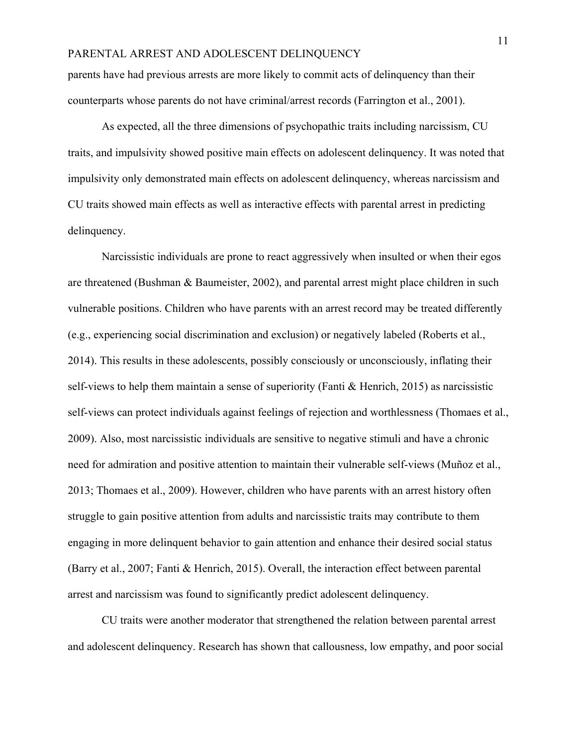parents have had previous arrests are more likely to commit acts of delinquency than their counterparts whose parents do not have criminal/arrest records (Farrington et al., 2001).

As expected, all the three dimensions of psychopathic traits including narcissism, CU traits, and impulsivity showed positive main effects on adolescent delinquency. It was noted that impulsivity only demonstrated main effects on adolescent delinquency, whereas narcissism and CU traits showed main effects as well as interactive effects with parental arrest in predicting delinquency.

Narcissistic individuals are prone to react aggressively when insulted or when their egos are threatened (Bushman & Baumeister, 2002), and parental arrest might place children in such vulnerable positions. Children who have parents with an arrest record may be treated differently (e.g., experiencing social discrimination and exclusion) or negatively labeled (Roberts et al., 2014). This results in these adolescents, possibly consciously or unconsciously, inflating their self-views to help them maintain a sense of superiority (Fanti & Henrich, 2015) as narcissistic self-views can protect individuals against feelings of rejection and worthlessness (Thomaes et al., 2009). Also, most narcissistic individuals are sensitive to negative stimuli and have a chronic need for admiration and positive attention to maintain their vulnerable self-views (Muñoz et al., 2013; Thomaes et al., 2009). However, children who have parents with an arrest history often struggle to gain positive attention from adults and narcissistic traits may contribute to them engaging in more delinquent behavior to gain attention and enhance their desired social status (Barry et al., 2007; Fanti & Henrich, 2015). Overall, the interaction effect between parental arrest and narcissism was found to significantly predict adolescent delinquency.

CU traits were another moderator that strengthened the relation between parental arrest and adolescent delinquency. Research has shown that callousness, low empathy, and poor social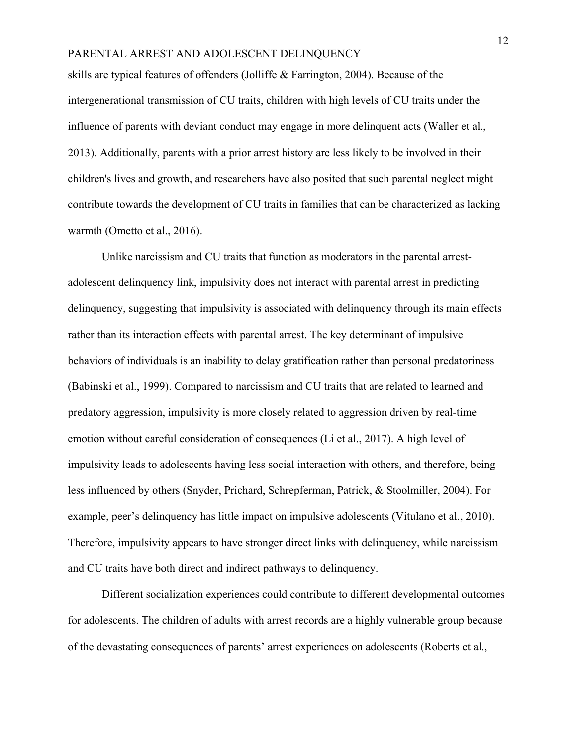skills are typical features of offenders (Jolliffe & Farrington, 2004). Because of the intergenerational transmission of CU traits, children with high levels of CU traits under the influence of parents with deviant conduct may engage in more delinquent acts (Waller et al., 2013). Additionally, parents with a prior arrest history are less likely to be involved in their children's lives and growth, and researchers have also posited that such parental neglect might contribute towards the development of CU traits in families that can be characterized as lacking warmth (Ometto et al., 2016).

Unlike narcissism and CU traits that function as moderators in the parental arrestadolescent delinquency link, impulsivity does not interact with parental arrest in predicting delinquency, suggesting that impulsivity is associated with delinquency through its main effects rather than its interaction effects with parental arrest. The key determinant of impulsive behaviors of individuals is an inability to delay gratification rather than personal predatoriness (Babinski et al., 1999). Compared to narcissism and CU traits that are related to learned and predatory aggression, impulsivity is more closely related to aggression driven by real-time emotion without careful consideration of consequences (Li et al., 2017). A high level of impulsivity leads to adolescents having less social interaction with others, and therefore, being less influenced by others (Snyder, Prichard, Schrepferman, Patrick, & Stoolmiller, 2004). For example, peer's delinquency has little impact on impulsive adolescents (Vitulano et al., 2010). Therefore, impulsivity appears to have stronger direct links with delinquency, while narcissism and CU traits have both direct and indirect pathways to delinquency.

Different socialization experiences could contribute to different developmental outcomes for adolescents. The children of adults with arrest records are a highly vulnerable group because of the devastating consequences of parents' arrest experiences on adolescents (Roberts et al.,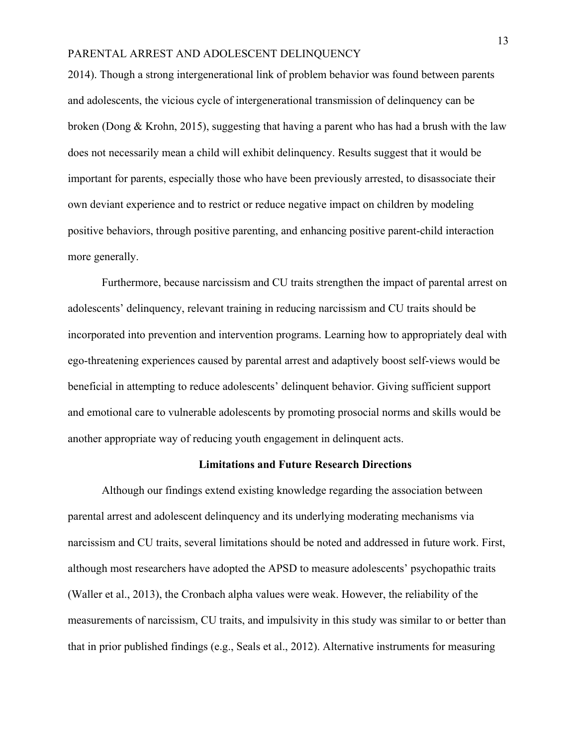2014). Though a strong intergenerational link of problem behavior was found between parents and adolescents, the vicious cycle of intergenerational transmission of delinquency can be broken (Dong & Krohn, 2015), suggesting that having a parent who has had a brush with the law does not necessarily mean a child will exhibit delinquency. Results suggest that it would be important for parents, especially those who have been previously arrested, to disassociate their own deviant experience and to restrict or reduce negative impact on children by modeling positive behaviors, through positive parenting, and enhancing positive parent-child interaction more generally.

Furthermore, because narcissism and CU traits strengthen the impact of parental arrest on adolescents' delinquency, relevant training in reducing narcissism and CU traits should be incorporated into prevention and intervention programs. Learning how to appropriately deal with ego-threatening experiences caused by parental arrest and adaptively boost self-views would be beneficial in attempting to reduce adolescents' delinquent behavior. Giving sufficient support and emotional care to vulnerable adolescents by promoting prosocial norms and skills would be another appropriate way of reducing youth engagement in delinquent acts.

#### **Limitations and Future Research Directions**

Although our findings extend existing knowledge regarding the association between parental arrest and adolescent delinquency and its underlying moderating mechanisms via narcissism and CU traits, several limitations should be noted and addressed in future work. First, although most researchers have adopted the APSD to measure adolescents' psychopathic traits (Waller et al., 2013), the Cronbach alpha values were weak. However, the reliability of the measurements of narcissism, CU traits, and impulsivity in this study was similar to or better than that in prior published findings (e.g., Seals et al., 2012). Alternative instruments for measuring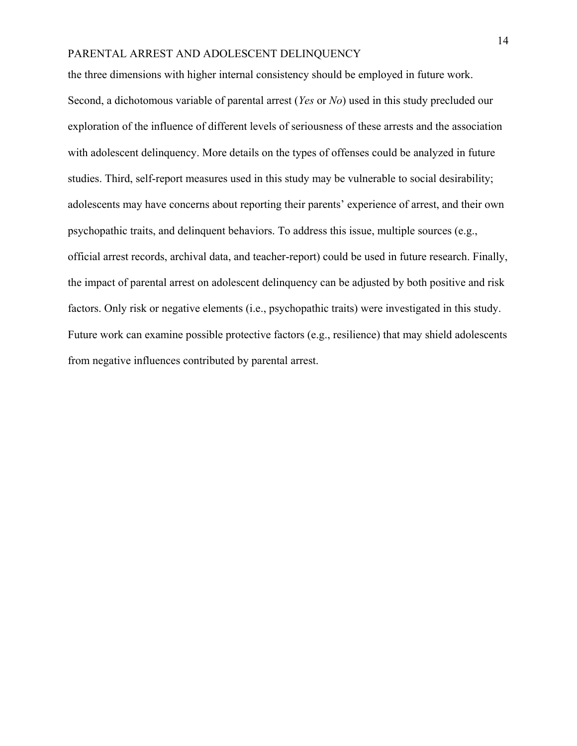the three dimensions with higher internal consistency should be employed in future work. Second, a dichotomous variable of parental arrest (*Yes* or *No*) used in this study precluded our exploration of the influence of different levels of seriousness of these arrests and the association with adolescent delinquency. More details on the types of offenses could be analyzed in future studies. Third, self-report measures used in this study may be vulnerable to social desirability; adolescents may have concerns about reporting their parents' experience of arrest, and their own psychopathic traits, and delinquent behaviors. To address this issue, multiple sources (e.g., official arrest records, archival data, and teacher-report) could be used in future research. Finally, the impact of parental arrest on adolescent delinquency can be adjusted by both positive and risk factors. Only risk or negative elements (i.e., psychopathic traits) were investigated in this study. Future work can examine possible protective factors (e.g., resilience) that may shield adolescents from negative influences contributed by parental arrest.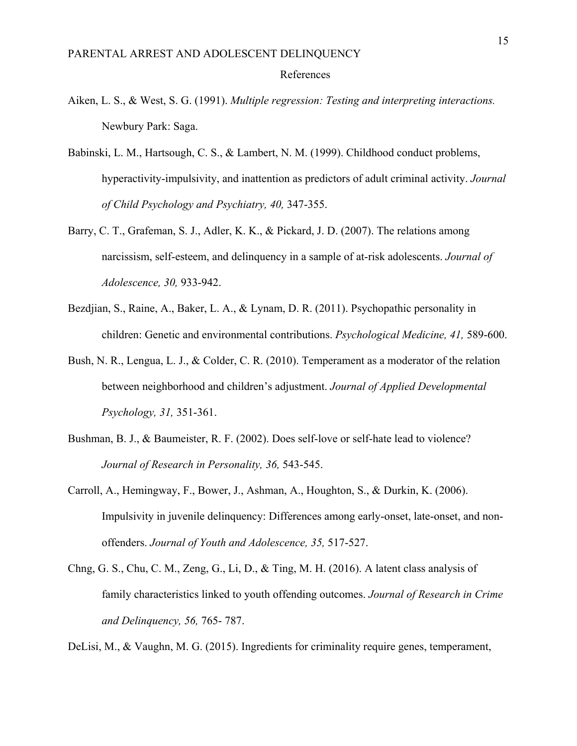## References

- Aiken, L. S., & West, S. G. (1991). *Multiple regression: Testing and interpreting interactions.*  Newbury Park: Saga.
- Babinski, L. M., Hartsough, C. S., & Lambert, N. M. (1999). Childhood conduct problems, hyperactivity-impulsivity, and inattention as predictors of adult criminal activity. *Journal of Child Psychology and Psychiatry, 40,* 347-355.
- Barry, C. T., Grafeman, S. J., Adler, K. K., & Pickard, J. D. (2007). The relations among narcissism, self-esteem, and delinquency in a sample of at-risk adolescents. *Journal of Adolescence, 30,* 933-942.
- Bezdjian, S., Raine, A., Baker, L. A., & Lynam, D. R. (2011). Psychopathic personality in children: Genetic and environmental contributions. *Psychological Medicine, 41,* 589-600.
- Bush, N. R., Lengua, L. J., & Colder, C. R. (2010). Temperament as a moderator of the relation between neighborhood and children's adjustment. *Journal of Applied Developmental Psychology, 31,* 351-361.
- Bushman, B. J., & Baumeister, R. F. (2002). Does self-love or self-hate lead to violence? *Journal of Research in Personality, 36,* 543-545.
- Carroll, A., Hemingway, F., Bower, J., Ashman, A., Houghton, S., & Durkin, K. (2006). Impulsivity in juvenile delinquency: Differences among early-onset, late-onset, and nonoffenders. *Journal of Youth and Adolescence, 35,* 517-527.
- Chng, G. S., Chu, C. M., Zeng, G., Li, D., & Ting, M. H. (2016). A latent class analysis of family characteristics linked to youth offending outcomes. *Journal of Research in Crime and Delinquency, 56,* 765- 787.

DeLisi, M., & Vaughn, M. G. (2015). Ingredients for criminality require genes, temperament,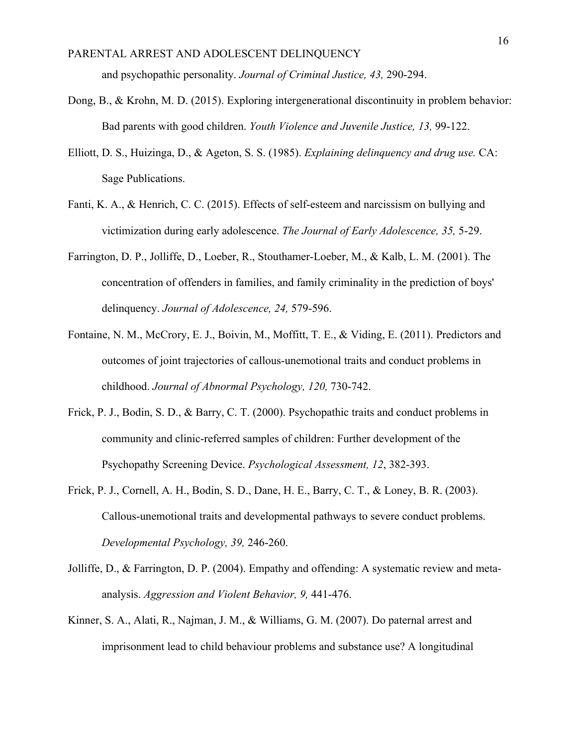- Dong, B., & Krohn, M. D. (2015). Exploring intergenerational discontinuity in problem behavior: Bad parents with good children. *Youth Violence and Juvenile Justice, 13,* 99-122.
- Elliott, D. S., Huizinga, D., & Ageton, S. S. (1985). *Explaining delinquency and drug use.* CA: Sage Publications.
- Fanti, K. A., & Henrich, C. C. (2015). Effects of self-esteem and narcissism on bullying and victimization during early adolescence. *The Journal of Early Adolescence, 35,* 5-29.
- Farrington, D. P., Jolliffe, D., Loeber, R., Stouthamer-Loeber, M., & Kalb, L. M. (2001). The concentration of offenders in families, and family criminality in the prediction of boys' delinquency. *Journal of Adolescence, 24,* 579-596.
- Fontaine, N. M., McCrory, E. J., Boivin, M., Moffitt, T. E., & Viding, E. (2011). Predictors and outcomes of joint trajectories of callous-unemotional traits and conduct problems in childhood. *Journal of Abnormal Psychology, 120,* 730-742.
- Frick, P. J., Bodin, S. D., & Barry, C. T. (2000). Psychopathic traits and conduct problems in community and clinic-referred samples of children: Further development of the Psychopathy Screening Device. *Psychological Assessment, 12*, 382-393.
- Frick, P. J., Cornell, A. H., Bodin, S. D., Dane, H. E., Barry, C. T., & Loney, B. R. (2003). Callous-unemotional traits and developmental pathways to severe conduct problems. *Developmental Psychology, 39,* 246-260.
- Jolliffe, D., & Farrington, D. P. (2004). Empathy and offending: A systematic review and metaanalysis. *Aggression and Violent Behavior, 9,* 441-476.
- Kinner, S. A., Alati, R., Najman, J. M., & Williams, G. M. (2007). Do paternal arrest and imprisonment lead to child behaviour problems and substance use? A longitudinal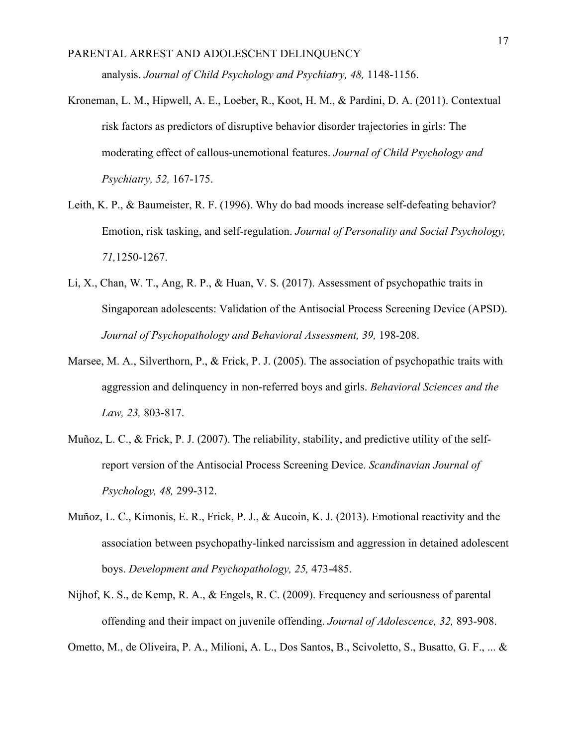- Kroneman, L. M., Hipwell, A. E., Loeber, R., Koot, H. M., & Pardini, D. A. (2011). Contextual risk factors as predictors of disruptive behavior disorder trajectories in girls: The moderating effect of callous‐unemotional features. *Journal of Child Psychology and Psychiatry, 52,* 167-175.
- Leith, K. P., & Baumeister, R. F. (1996). Why do bad moods increase self-defeating behavior? Emotion, risk tasking, and self-regulation. *Journal of Personality and Social Psychology, 71,*1250-1267.
- Li, X., Chan, W. T., Ang, R. P., & Huan, V. S. (2017). Assessment of psychopathic traits in Singaporean adolescents: Validation of the Antisocial Process Screening Device (APSD). Journal of Psychopathology and Behavioral Assessment, 39, 198-208.
- Marsee, M. A., Silverthorn, P., & Frick, P. J. (2005). The association of psychopathic traits with aggression and delinquency in non-referred boys and girls. *Behavioral Sciences and the Law, 23,* 803-817.
- Muñoz, L. C., & Frick, P. J. (2007). The reliability, stability, and predictive utility of the selfreport version of the Antisocial Process Screening Device. *Scandinavian Journal of Psychology, 48,* 299-312.
- Muñoz, L. C., Kimonis, E. R., Frick, P. J., & Aucoin, K. J. (2013). Emotional reactivity and the association between psychopathy-linked narcissism and aggression in detained adolescent boys. *Development and Psychopathology, 25,* 473-485.
- Nijhof, K. S., de Kemp, R. A., & Engels, R. C. (2009). Frequency and seriousness of parental offending and their impact on juvenile offending. *Journal of Adolescence, 32,* 893-908.

Ometto, M., de Oliveira, P. A., Milioni, A. L., Dos Santos, B., Scivoletto, S., Busatto, G. F., ... &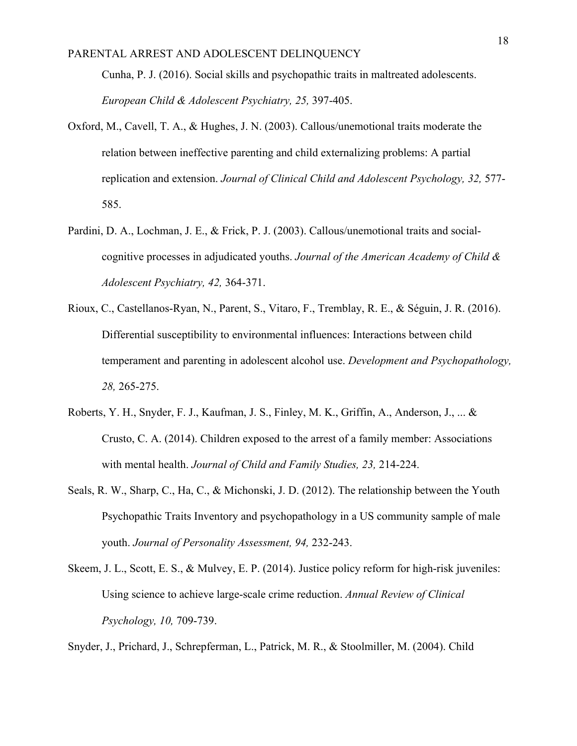Cunha, P. J. (2016). Social skills and psychopathic traits in maltreated adolescents. *European Child & Adolescent Psychiatry, 25,* 397-405.

- Oxford, M., Cavell, T. A., & Hughes, J. N. (2003). Callous/unemotional traits moderate the relation between ineffective parenting and child externalizing problems: A partial replication and extension. *Journal of Clinical Child and Adolescent Psychology, 32,* 577- 585.
- Pardini, D. A., Lochman, J. E., & Frick, P. J. (2003). Callous/unemotional traits and socialcognitive processes in adjudicated youths. *Journal of the American Academy of Child & Adolescent Psychiatry, 42,* 364-371.
- Rioux, C., Castellanos-Ryan, N., Parent, S., Vitaro, F., Tremblay, R. E., & Séguin, J. R. (2016). Differential susceptibility to environmental influences: Interactions between child temperament and parenting in adolescent alcohol use. *Development and Psychopathology, 28,* 265-275.
- Roberts, Y. H., Snyder, F. J., Kaufman, J. S., Finley, M. K., Griffin, A., Anderson, J., ... & Crusto, C. A. (2014). Children exposed to the arrest of a family member: Associations with mental health. *Journal of Child and Family Studies, 23,* 214-224.
- Seals, R. W., Sharp, C., Ha, C., & Michonski, J. D. (2012). The relationship between the Youth Psychopathic Traits Inventory and psychopathology in a US community sample of male youth. *Journal of Personality Assessment, 94,* 232-243.
- Skeem, J. L., Scott, E. S., & Mulvey, E. P. (2014). Justice policy reform for high-risk juveniles: Using science to achieve large-scale crime reduction. *Annual Review of Clinical Psychology, 10,* 709-739.

Snyder, J., Prichard, J., Schrepferman, L., Patrick, M. R., & Stoolmiller, M. (2004). Child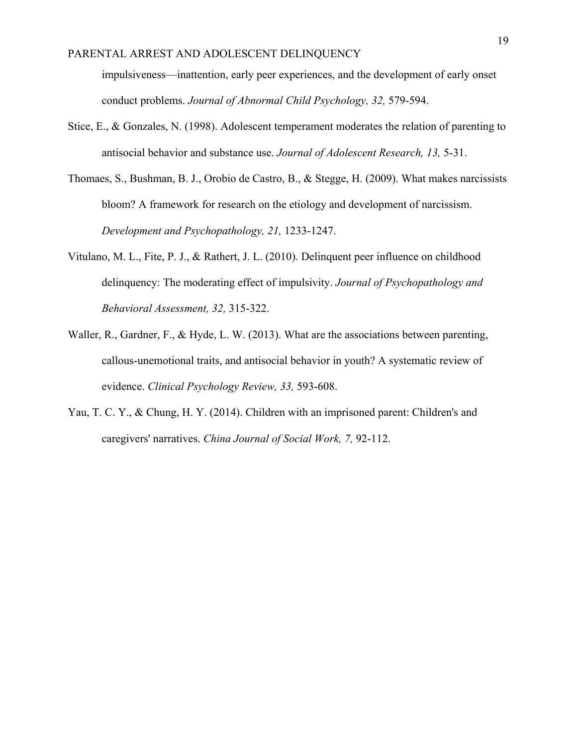impulsiveness—inattention, early peer experiences, and the development of early onset conduct problems. *Journal of Abnormal Child Psychology, 32,* 579-594.

- Stice, E., & Gonzales, N. (1998). Adolescent temperament moderates the relation of parenting to antisocial behavior and substance use. *Journal of Adolescent Research, 13,* 5-31.
- Thomaes, S., Bushman, B. J., Orobio de Castro, B., & Stegge, H. (2009). What makes narcissists bloom? A framework for research on the etiology and development of narcissism. *Development and Psychopathology, 21,* 1233-1247.
- Vitulano, M. L., Fite, P. J., & Rathert, J. L. (2010). Delinquent peer influence on childhood delinquency: The moderating effect of impulsivity. *Journal of Psychopathology and Behavioral Assessment, 32,* 315-322.
- Waller, R., Gardner, F., & Hyde, L. W. (2013). What are the associations between parenting, callous-unemotional traits, and antisocial behavior in youth? A systematic review of evidence. *Clinical Psychology Review, 33,* 593-608.
- Yau, T. C. Y., & Chung, H. Y. (2014). Children with an imprisoned parent: Children's and caregivers' narratives. *China Journal of Social Work, 7,* 92-112.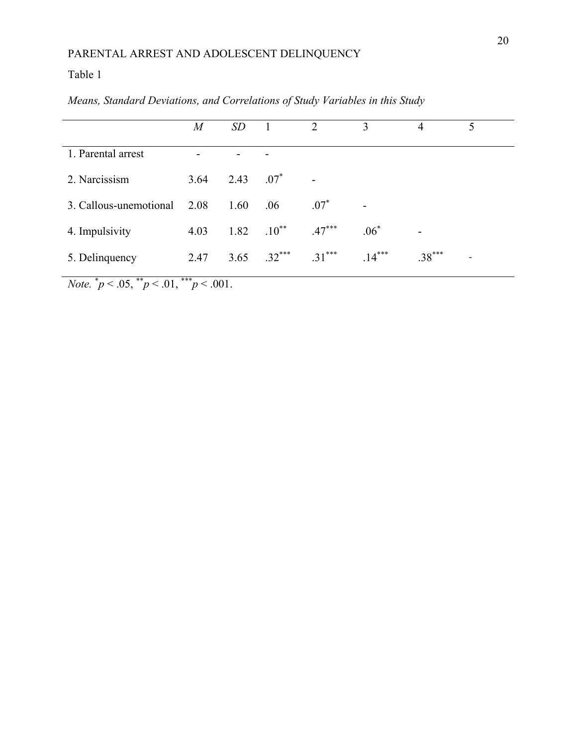# Table 1

|                        | $\overline{M}$ | SD           |                    | 2                        | 3        | 4        | 5                        |
|------------------------|----------------|--------------|--------------------|--------------------------|----------|----------|--------------------------|
| 1. Parental arrest     | -              |              |                    |                          |          |          |                          |
| 2. Narcissism          | 3.64           | 2.43 $.07^*$ |                    | $\overline{\phantom{0}}$ |          |          |                          |
| 3. Callous-unemotional | 2.08           | 1.60         | .06                | $.07^*$                  |          |          |                          |
| 4. Impulsivity         | 4.03           |              | $1.82 \t .10^{**}$ | $.47***$                 | $.06*$   |          |                          |
| 5. Delinquency         | 2.47           | 3.65         | $.32***$           | $.31***$                 | $.14***$ | $.38***$ | $\overline{\phantom{0}}$ |

*Means, Standard Deviations, and Correlations of Study Variables in this Study* 

*Note.*  $^*p < .05, \, ^{**}p < .01, \, ^{***}p < .001.$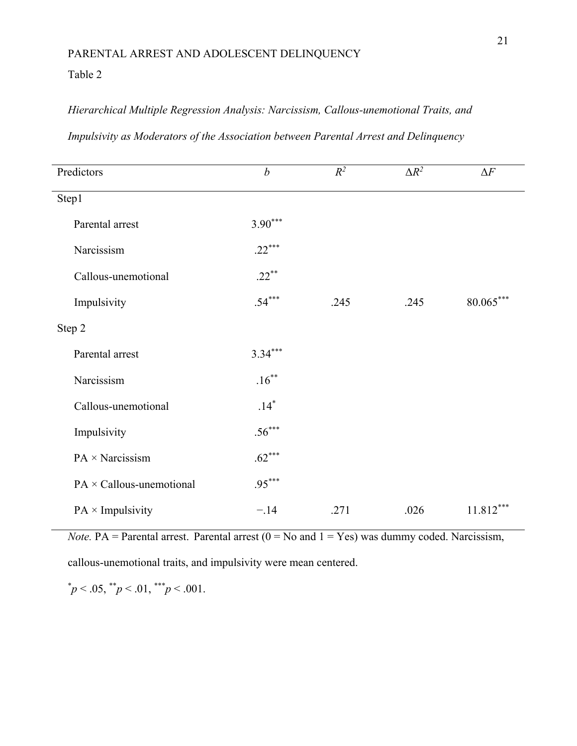## Table 2

# *Hierarchical Multiple Regression Analysis: Narcissism, Callous-unemotional Traits, and*

| Predictors                      | $\boldsymbol{b}$ | $R^2$ | $\Delta R^2$ | $\Delta F$  |
|---------------------------------|------------------|-------|--------------|-------------|
| Step1                           |                  |       |              |             |
| Parental arrest                 | $3.90***$        |       |              |             |
| Narcissism                      | $.22***$         |       |              |             |
| Callous-unemotional             | $.22***$         |       |              |             |
| Impulsivity                     | $.54***$         | .245  | .245         | $80.065***$ |
| Step 2                          |                  |       |              |             |
| Parental arrest                 | $3.34***$        |       |              |             |
| Narcissism                      | $.16***$         |       |              |             |
| Callous-unemotional             | $.14*$           |       |              |             |
| Impulsivity                     | $.56***$         |       |              |             |
| PA × Narcissism                 | $.62***$         |       |              |             |
| $PA \times$ Callous-unemotional | $.95***$         |       |              |             |
| $PA \times Impulsivity$         | $-.14$           | .271  | .026         | $11.812***$ |

## *Impulsivity as Moderators of the Association between Parental Arrest and Delinquency*

*Note.* PA = Parental arrest. Parental arrest  $(0 = No$  and  $1 = Yes)$  was dummy coded. Narcissism,

callous-unemotional traits, and impulsivity were mean centered.

 $\mu^* p < .05, \mu^* p < .01, \mu^* p < .001.$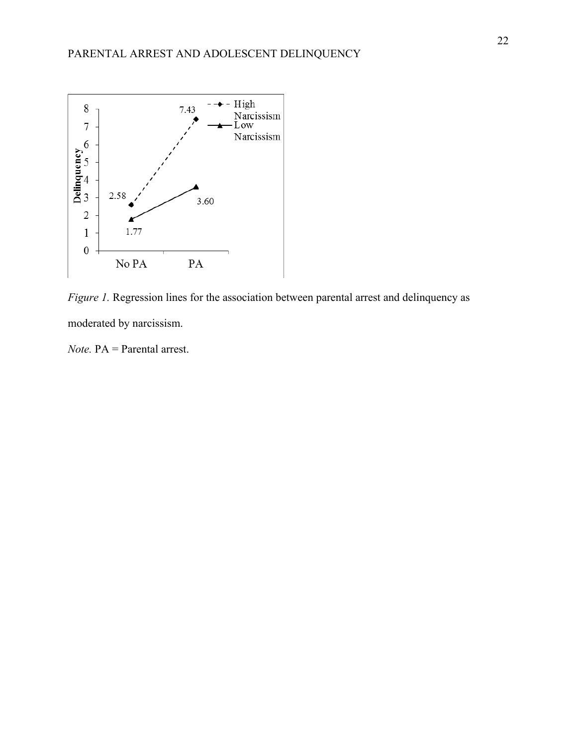

*Figure 1.* Regression lines for the association between parental arrest and delinquency as moderated by narcissism.

*Note.* PA = Parental arrest.